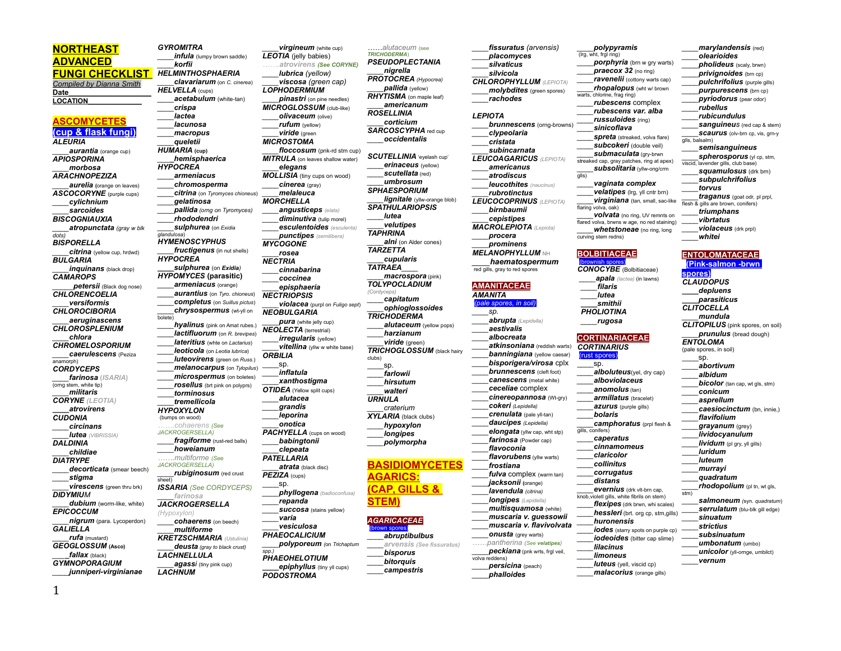## **NORTHEAST ADVANCED**

**FUNGI CHECKLIST**  *Compiled by Dianna Smith* **Date\_\_\_\_\_\_\_\_\_\_\_\_\_\_\_\_\_\_\_\_ LOCATION\_\_\_\_\_\_\_\_\_\_\_\_\_\_**

### **ASCOMYCETES (cup & flask fungi)**

*ALEURIA \_\_\_\_aurantia* (orange cup) *APIOSPORINA \_\_\_\_morbosa ARACHNOPEZIZA \_\_\_\_aurelia* **(**orange on leaves) *ASCOCORYNE* (purple cups) *\_\_\_\_cylichnium \_\_\_\_sarcoides BISCOGNIAUXIA \_\_\_\_atropunctata (gray w blk dots) BISPORELLA \_\_\_\_citrina* (yellow cup, hrdwd) *BULGARIA inquinans* (black drop) *CAMAROPS \_\_\_\_\_petersii* (Black dog nose) *CHLORENCOELIA \_\_\_\_versiformis CHLOROCIBORIA \_\_\_\_aeruginascens CHLOROSPLENIUM \_\_\_\_chlora CHROMELOSPORIUM \_\_\_\_caerulescens* (Peziza anamorph) *CORDYCEPS \_\_\_\_farinosa* **(***ISARIA***)** (orng stem, white tip) *\_\_\_\_militaris CORYNE (LEOTIA) \_\_\_\_atrovirens CUDONIA \_\_\_\_circinans \_\_\_\_lutea (VIBRISSIA) DALDINIA \_\_\_\_childiae DIATRYPE \_\_\_\_decorticata* (smear beech) *\_\_\_\_stigma virescens* (green thru brk) *DIDYMIUM \_\_\_\_dubium* (worm-like, white) *EPICOCCUM \_\_\_\_nigrum* (para. Lycoperdon) *GALIELLA \_\_\_\_rufa* (mustard) *GEOGLOSSUM* **(Asco)** *\_\_\_\_fallax* (black)

*GYROMITRA infula* (lumpy brown saddle) *\_\_\_\_korfii HELMINTHOSPHAERIA \_\_\_\_clavariarum* (on *C. cinerea*) *HELVELLA* (cups) *\_\_\_\_acetabulum* (white-tan) *\_\_\_\_crispa \_\_\_\_lactea \_\_\_\_lacunosa \_\_\_\_macropus \_\_\_\_queletii HUMARIA* **(cup)** *\_\_\_\_hemisphaerica HYPOCREA \_\_\_\_armeniacus \_\_\_\_chromosperma \_\_\_\_citrina* (on *Tyromyces chioneus*) *\_\_\_\_gelatinosa \_\_\_\_pallida (orng on Tyromyces) \_\_\_\_rhododendri \_\_\_\_sulphurea* (on *Exidia glandulosa*) *HYMENOSCYPHUS \_\_\_\_fructigenus* (in nut shells) *HYPOCREA \_\_\_\_sulphurea* (on *Exidia) HYPOMYCES* **(parasitic)** *\_\_\_\_armeniacus* (orange) *\_\_\_\_aurantius* (on *Tyro. chioneus*) *\_\_\_\_completus* (on *Suillus pictus*) *\_\_\_\_chrysospermus* (wt-yll on bolete) *\_\_\_\_hyalinus* (pink on Amat rubes.) *\_\_\_\_lactifluorum* (on *R. brevipes*) *\_\_\_\_lateritius* (whte on *Lactarius*) *\_\_\_\_leoticola* (on *Leotia lubrica*) *\_\_\_\_luteovirens* (green on *Russ.*) *\_\_\_\_melanocarpus* (on *Tylopilus*) *\_\_\_\_microspermus* (on boletes) *\_\_\_\_rosellus* (brt pink on polyprs) \_\_\_\_*torminosus \_\_\_\_tremellicola HYPOXYLON* (bumps on wood) *…….cohaerens (See JACKROGERSELLA) fragiforme* (rust-red balls) *\_\_\_\_howeianum …….multiforme (See JACKROGERSELLA) \_\_\_\_rubiginosum* (red crust sheet) *ISSARIA (See CORDYCEPS) \_\_\_\_farinosa JACKROGERSELLA (Hypoxylon) \_\_\_\_cohaerens* (on beech) *\_\_\_\_multiforme KRETZSCHMARIA (Ustulinia) \_\_\_\_deusta (gray to black crust) LACHNELLULA \_\_\_\_agassi* (tiny pink cup)

*LACHNUM*

*\_\_\_\_virgineum* (white cup) *LEOTIA* (jelly babies) *…….atrovirens (See CORYNE) \_\_\_\_lubrica (yellow) \_\_\_\_viscosa (green cap) LOPHODERMIUM \_\_\_\_pinastri* (on pine needles) *MICROGLOSSUM* (club-like) *\_\_\_\_olivaceum* (olive) *\_\_\_\_rufum* (yellow) *\_\_\_\_viride* (green *MICROSTOMA \_\_\_\_floccosum* (pnk-rd stm cup) *MITRULA* (on leaves shallow water) *\_\_\_\_elegans MOLLISIA* (tiny cups on wood) *\_\_\_\_cinerea* (gray) *\_\_\_\_melaleuca MORCHELLA \_\_\_\_angusticeps (elata) \_\_\_\_diminutiva* (tulip morel) *\_\_\_\_esculentoides (esculenta) \_\_\_\_punctipes (semilibera) MYCOGONE \_\_\_\_rosea NECTRIA \_\_\_\_cinnabarina \_\_\_\_coccinea \_\_\_\_episphaeria NECTRIOPSIS \_\_\_\_violacea* (purpl on *Fuligo sept*) *NEOBULGARIA \_\_\_\_pura* (white jelly cup) *NEOLECTA* (terrestrial) *\_\_\_\_irregularis* (yellow) *vitellina* (yllw w white base) *ORBILIA*  \_\_\_\_sp. *\_\_\_\_inflatula \_\_\_\_xanthostigma OTIDEA* (Yellow split cups) *\_\_\_\_alutacea \_\_\_\_grandis \_\_\_\_leporina \_\_\_\_onotica PACHYELLA* (cups on wood) *\_\_\_\_babingtonii \_\_\_\_clepeata PATELLARIA \_\_\_\_atrata* (black disc) *PEZIZA* (cups) \_\_\_\_sp. *\_\_\_\_phyllogena (badioconfusa) \_\_\_\_repanda succosa* (stains yellow) *\_\_\_\_varia \_\_\_\_vesiculosa PHAEOCALICIUM \_\_\_\_polyporeum (*on *Trichaptum spp.) PHAEOHELOTIUM \_\_\_\_epiphyllus* (tiny yll cups) *PODOSTROMA*

*TRICHODERMA*) *PSEUDOPLECTANIA \_\_\_\_nigrella PROTOCREA (Hypocrea) \_\_\_\_pallida* (yellow) *RHYTISMA* (on maple leaf) *\_\_\_\_americanum ROSELLINIA \_\_\_\_corticium SARCOSCYPHA* red cup *\_\_\_\_occidentalis SCUTELLINIA* 'eyelash cup' *erinaceus* (yellow) *\_\_\_\_scutellata* (red) *\_\_\_\_umbrosum SPHAESPORIUM lignitale* (yllw-orange blob) *SPATHULARIOPSIS \_\_\_\_lutea \_\_\_\_velutipes TAPHRINA \_\_\_\_alni* (on Alder cones) *TARZETTA \_\_\_\_cupularis TATRAEA\_\_\_\_ \_\_\_\_macrospora* (pink) *TOLYPOCLADIUM (Cordyceps) \_\_\_\_capitatum \_\_\_\_ophioglossoides TRICHODERMA \_\_\_\_alutaceum* (yellow pops) *\_\_\_\_harzianum \_\_\_\_viride* (green) *TRICHOGLOSSUM* (black hairy clubs) \_\_\_\_sp. *\_\_\_\_farlowii \_\_\_\_hirsutum \_\_\_\_walteri URNULA \_\_\_\_craterium XYLARIA* (black clubs) *\_\_\_\_hypoxylon \_\_\_\_longipes \_\_\_\_polymorpha* **BASIDIOMYCETES AGARICS: (CAP, GILLS & STEM)** *AGARICACEAE* (brown spores) *\_\_\_\_abruptibulbus \_\_\_\_arvensis (See fissuratus) \_\_\_\_bisporus \_\_\_\_bitorquis \_\_\_\_campestris*

*……alutaceum* (see

```
____fissuratus (arvensis)
     ____placomyces
     ____silvaticus
     ____silvicola
CHLOROPHYLLUM (LEPIOTA)
     ____molybdites (green spores)
     ____rachodes
LEPIOTA
     ____brunnescens (orng-browns)
     ____clypeolaria
     ____cristata
     ____subincarnata
LEUCOAGARICUS (LEPIOTA)
     ____americanus
     ____atrodiscus
     ____leucothites (naucinus)
     ____rubrotinctus
LEUCOCOPRINUS (LEPIOTA)
     ____birnbaumii
     ____cepistipes 
MACROLEPIOTA (Lepiota)
     ____procera
     ____prominens
MELANOPHYLLUM NH
      ____haematospermum
red gills, gray to red spores
AMANITACEAE
AMANITA
 (pale spores, in soil)
     ____sp. 
     ____abrupta (Lepidella)
     ____aestivalis
     ____albocreata
     ____atkinsoniana (reddish warts)
     ____banningiana (yellow caesar)
     ____bisporigera/virosa cplx
     brunnescens (cleft foot)
     ____canescens (metal white)
     ____ceceliae complex
     ____cinereopannosa (Wt-gry) 
     ____cokeri (Lepidella)
     ____crenulata (pale yll-tan)
     ____daucipes (Lepidella)
     elongata (yllw cap, wht stp)
     ____farinosa (Powder cap)
     ____flavoconia
     ____flavorubens (yllw warts)
     ____frostiana
     fulva complex (warm tan)
     ____jacksonii (orange)
     ____lavendula (citrina)
     ____longipes (Lepidella)
     ____multisquamosa (white)
     ____muscaria v. guessowii
     ____muscaria v. flavivolvata
     ____onusta (grey warts)
……pantherina (See velatipes)
     ____peckiana (pnk wrts, frgl veil, 
volva reddens)
     ____persicina (peach)
```
*\_\_\_\_phalloides*

```
(lrg, wht, frgl ring)
     porphyria (brn w gry warts)
     ____praecox 32 (no ring)
     ____ravenelii (cottony warts cap)
      ____rhopalopus (wht w/ brown 
warts, chlorine, frag ring)
     ____rubescens complex
      ____sinicoflava
glls)
flaring volva, oak)
curving stem redns)
BOLBITIACEAE
 (brownish spores)
       ____filaris
       ____lutea
       ____smithii
 PHOLIOTINA
   ____rugosa
CORTINARIUS
  ust sr
      ____sp. 
     ____bolaris
gills, conifers)
```
*\_\_\_\_rubescens var. alba \_\_\_\_russuloides* (ring) *spreta* (streaked, volva flare) *subcokeri* (double veil) *\_\_\_\_submaculata* (gry-brwn streaked cap, gray patches, ring at apex) *\_\_\_\_subsolitaria* (yllw-ong/crm *\_\_\_\_vaginata complex \_\_\_\_velatipes* (lrg, yll cntr brn) *\_\_\_\_virginiana* (tan, small, sac-like *\_\_\_\_volvata* (no ring, UV remnts on flared volva, brwns w age, no red staining) *whetstoneae* (no ring, long *CONOCYBE* (Bolbitiaceae) *\_\_\_\_apala (lactea)* (in lawns)

```
CORTINARIACEAE
```
*\_\_\_\_polypyramis*

```
alboluteus(yel, dry cap)
____alboviolaceus
____anomolus (tan)
____armillatus (bracelet)
____azurus (purple gills)
____camphoratus (prpl flesh & 
____caperatus
____cinnamomeus
____claricolor
____collinitus
____corrugatus
```
*\_\_\_\_distans \_\_\_\_evernius* (drk vlt-brn cap, knob,violetl gills, white fibrils on stem) *\_\_\_\_flexipes* (drk brwn, whi scales) *hessleri* (brt. org cp, stm,gills) *\_\_\_\_huronensis iodes* (starry spots on purple cp)

```
____iodeoides (bitter cap slime)
____lilacinus
____limoneus
luteus (yell, viscid cp)
```
*\_\_\_\_malacorius* (orange gills)

*\_\_\_\_pyriodorus* (pear odor) *\_\_\_\_rubellus \_\_\_\_rubicundulus \_\_\_\_sanguineus* (red cap & stem) *scaurus* (olv-brn cp, vis, grn-y glis, balsalm *\_\_\_\_semisanguineus spherosporus* (yl cp, stm, viscid, lavender gills, club base) *\_\_\_\_squamulosus* (drk brn) *\_\_\_\_subpulchrifolius \_\_\_\_torvus \_\_\_\_traganus* (goat odr, pl prpl, flesh & gills are brown, conifers) *\_\_\_\_triumphans \_\_\_\_vibrtatus \_\_\_\_violaceus* (drk prpl) *\_\_\_\_whitei* **ENTOLOMATACEAE (Pink-salmon -brwn spores)** *CLAUDOPUS \_\_\_\_depluens \_\_\_\_parasiticus CLITOCELLA \_\_\_\_mundula*

*\_\_\_\_marylandensis* (red) *\_\_\_\_olearioides \_\_\_\_pholideus* (scaly, brwn) *\_\_\_\_privignoides* (brn cp) *\_\_\_\_pulchrifolius* (purple gills) *\_\_\_\_purpurescens* (brn cp)

```
CLITOPILUS (pink spores, on soil)
      ____prunulus (bread dough)
ENTOLOMA 
(pale spores, in soil)
      ____sp.
      ____abortivum
      ____albidum
      bicolor (tan cap, wt gls, stm)
      ____conicum
      ____asprellum
      ____caesiocinctum (bn, innie,)
      ____flavifolium
      ____grayanum (grey)
      ____lividocyanulum
      ____lividum (pl gry, yll gills)
      ____luridum
      ____luteum
      ____murrayi
      ____quadratum
      rhodopolium (pl tn, wt gls,
stm)
      ____salmoneum (syn. quadratum)
      ____serrulatum (blu-blk gill edge)
      ____sinuatum
      ____strictius
      ____subsinuatum
      ____umbonatum (umbo)
      ____unicolor (yll-ornge, umbilct)
```
*\_\_\_\_vernum*

*GYMNOPORAGIUM \_\_\_\_junniperi-virginianae*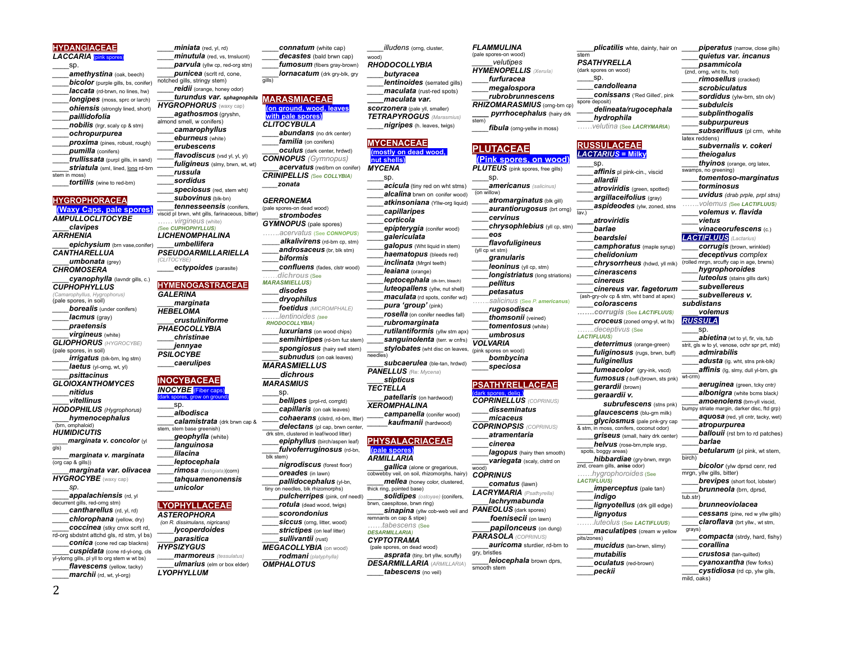```
LACCARIA (pink spores)
     amethystina (oak, beech)
      bicolor (purple gills, bs, conifer)
     ____laccata (rd-brwn, no lines, hw)
     longipes (moss, sprc or larch)
     ohiensis (strongly lined, short)
     ____paillidofolia
     nobilis (lrgr, scaly cp & stm)
     ____ochropurpurea
     ____proxima (pines, robust, rough)
     ____pumilla (conifers)
     ____trullissata (purpl gills, in sand)
     striatula (sml, lined, long rd-brn
     ____tortillis (wine to red-brn)
HYGROPHORACEA
 (Waxy Caps, pale spores)
AMPULLOCLITOCYBE
     ____clavipes
      epichysium (brn vase,conifer)
CANTHARELLUA
     ____umbonata (grey)
CHROMOSERA
      ____cyanophylla (lavndr gills, c.)
CUPHOPHYLLUS
    (Camarophyllus, Hygrophorus)
(pale spores, in soil)
     borealis (under conifers)
     ____lacmus (gray)
     ____praetensis
     ____virgineus (white)
GLIOPHORUS (HYGROCYBE)
(pale spores, in soil)
     ____irrigatus (blk-brn, lng stm) 
      laetus (vl-orng, wt, yl)
     ____psittacinus
GLOIOXANTHOMYCES 
     ____vitellinus
HODOPHILUS (Hygrophorus)
     ____hymenocephalus
HUMIDICUTIS
     ____marginata v. concolor (yl 
     ____marginata v. marginata
      ____marginata var. olivacea
HYGROCYBE (waxy cap)
     ____appalachiensis (rd, yl 
decurrent gills, red-orng stm)
     ____cantharellus (rd, yl, rd)
                                           ____minutula (red, vs, trnslucnt)
                                           ____parvula (yllw cp, red-org stm)
                                          punicea (scrit rd, cone,
                                     notched gills, stringy stem)
                                           ____reidii (orange, honey odor)
                                           ____turundus var. sphagnophila
                                     HYGROPHORUS (waxy cap)
                                           ____agathosmos (gryshn, 
                                     almond smell, w conifers)
                                           ____camarophyllus
                                           ____eburneus (white)
                                           ____erubescens
                                           ____flavodiscus (vsd yl, yl, yl)
                                           ____fuligineus (slmy, brwn, wt, wt)
                                           ____russula
                                           ____sordidus
                                           ____speciosus (red, stem wht)
                                           ____subovinus (blk-bn)
                                           ____tennesseensis (conifers, 
                                     viscid pl brwn, wht gills, farinaceous, bitter)
                                          …… virgineus (white)
                                     (See CUPHOPHYLLUS)
                                     LICHENOMPHALINA 
                                           ____umbellifera
                                     PSEUDOARMILLARIELLA
                                     (CLITOCYBE)
                                          ____ectypoides (parasite)
                                     HYMENOGASTRACEAE
                                     GALERINA
                                           ____marginata
                                     HEBELOMA
                                           ____crustuliniforme
                                     PHAEOCOLLYBIA
                                          ____christinae
                                           ____jennyae
                                     PSILOCYBE
                                          ____caerulipes
                                     INOCYBACEAE
                                     INOCYBE (Fiber
                                     (dark spores, grow on ground)
                                          ____sp.
                                          ____albodisca
                                           ____calamistrata (drk brwn cap & 
                                     stem, stem base greenish)
                                           ____geophylla (white)
                                           ____languinosa
                                           ____lilacina
                                           ____leptocephala
                                           ____rimosa (fastigiata)(corn)
                                           ____tahquamenonensis
                                           ____unicolor
                                     LYOPHYLLACEAE
                                                                                ____decastes (bald brwn cap)
                                                                                ____fumosum (fibers gray-brown)
                                                                                lornacatum (drk gry-blk, gry
                                                                          gills)
                                                                          MARASMIACEAE
                                                                            (on ground, wood, leaves
                                                                            with pale spores)
                                                                          CLITOCYBULA 
                                                                                abundans (no drk center)
                                                                               familia (on conifers)
                                                                                ____oculus (dark center, hrdwd)
                                                                          CONNOPUS (Gymnopus)
                                                                                ____acervatus (red/brn on conifer)
                                                                          CRINIPELLIS (See COLLYBIA)
                                                                              ____zonata
                                                                          GERRONEMA 
                                                                         (pale spores-on dead wood)
                                                                                ____strombodes
                                                                          GYMNOPUS (pale spores)
                                                                                …….acervatus (See CONNOPUS)
                                                                                _____alkalivirens (rd-brn cp, stm)
                                                                                ____androsaceus (br, blk stm)
                                                                                ____biformis
                                                                                ____confluens (fades, clstr wood)
                                                                               ……dichrous (See
                                                                          MARASMIELLUS)
                                                                                ____disodes
                                                                                ____dryophilus
                                                                                ____foetidus (MICROMPHALE)
                                                                                …….lentinoides (see 
                                                                           RHODOCOLLYBIA)
                                                                                ____luxurians (on wood chips)
                                                                                ____semihirtipes (rd-brn fuz stem)
                                                                                spongiosus (hairy swll stem)
                                                                                ____subnudus (on oak leaves)
                                                                          MARASMIELLUS
                                                                                ____dichrous
                                                                          MARASMIUS 
                                                                               ____sp.
                                                                               ____bellipes (prpl-rd, corrgtd)
                                                                                ____capillaris (on oak leaves)
                                                                                ____cohaerans (clstrd, rd-brn, ltter)
                                                                                ____delectans (pl cap, brwn center,
                                                                           drk stm, clustered in leaf/wood litter)
                                                                                ____epiphyllus (birch/aspen leaf)
                                                                                ____fulvoferruginosus (rd-bn, 
                                                                           blk stem)
                                                                               ____nigrodiscus (forest floor)
                                                                                ____oreades (in lawn)
                                                                                ____pallidocephalus (yl-bn, 
                                                                          tiny on needles, blk rhizomorphs)
                                                                               ____pulcherripes (pink, cnf needl)
                                                                               ____rotula (dead wood, twigs)
                                                                                                               wood)_____
                                                                                                               RHODOCOLLYBIA
                                                                                                               scorzonera (pale yll, smaller)
                                                                                                               TETRAPYROGUS (Marasmius)
                                                                                                                MYCENACEAE
                                                                                                                 (mostly on dead wood, 
                                                                                                                nut shells)
                                                                                                               MYCENA
                                                                                                               needles)
                                                                                                               PANELLUS (Re: Mycena)
                                                                                                               TECTELLA
                                                                                                               XEROMPHALINA
                                                                                                               PHYSALACRIACEAE
                                                                                                                (pale spores)
                                                                                                               ARMILLARIA
                                                                                                               cobwebby veil, on soil, rhizomorphs, hairy)
                                                                                                               thick ring, pointed base)
                                                                                                               brwn, caespitose, brwn ring)
```
*\_\_\_\_miniata* (red, yl, rd)

*\_\_\_\_connatum* (white cap)

*illudens* (orng, cluster,

*lentinoides* (serrated gills) *\_\_\_\_maculata* (rust-red spots) *\_\_\_\_maculata var.* 

*FLAMMULINA*  (pale spores-on wood) *\_\_\_\_\_velutipes HYMENOPELLIS (Xerula) \_\_\_\_furfuracea \_\_\_\_megalospora \_\_\_\_rubrobrunnescens RHIZOMARASMIUS* (orng-brn cp) *\_\_\_\_ pyrrhocephalus* (hairy drk

**PLUTACEAE**

*\_\_\_\_cervinus*

*\_\_\_\_pellitus \_\_\_\_petasatus*

*\_\_\_\_flavofuligineus*

*\_\_\_\_eos*

 $(v||$  cp wt stm) *\_\_\_\_granularis leoninus* (vll cp, stm) *longistriatus* (long striations)

\_\_\_\_sp.

(on willow)

fibula (orng-yellw in moss)

*\_\_\_\_plicatilis* whte, dainty, hair on

*piperatus* (narrow, close gills) *\_\_\_\_quietus var. incanus \_\_\_\_psammicola* (znd, orng, wht ltx, hot) *\_\_\_\_rimosellus* (cracked) *\_\_\_\_scrobiculatus sordidus* (ylw-brn, stn olv)

> \_\_\_\_*subvernalis v. cokeri \_\_\_\_theiogalus \_\_\_\_thyinos* (orange, org latex,

*\_\_\_\_tomentoso-marginatus*

*\_\_\_\_uvidus (drab prple, prpl stns) …….volemus (*See *LACTIFLUUS) \_\_\_\_volemus v. flavida*

*\_\_\_\_vinaceorufescens* (c.) *LACTIFLUUS (Lactarius) \_\_\_\_corrugis* (brown, wrinkled) *\_\_\_\_deceptivus complex* (rolled mrgn, srcuffy cap in age, brwns) *\_\_\_\_hygrophoroides luteolus* (stains gills dark) *\_\_\_\_subvellereus \_\_\_\_subvellereus v.* 

abietina (wt to yl, fir, vis, tub strit, gls w to yl, venose, ochr spr prt, mld) \_\_\_\_*admirabilis* \_\_\_\_*adusta* (lg. wht, stns pnk-blk*) \_\_\_\_affinis* (lg, slmy, dull yl-brn, gls

*\_\_\_\_aeruginea* (green, tcky cntr*) \_\_\_\_albonigra* (white bcms black*) amoenolens* (brn-yll viscid, bumpy striate margin, darker disc, ftd grp) *\_\_\_\_aquosa* (red, yll cntr, tacky, wet) *\_\_\_\_atropurpurea \_\_\_\_ballouii* (rst brn to rd patches)

*betularum* (pl pink, wt stem,

*bicolor* (ylw dprsd cenr, red

**brevipes** (short foot, lobster) *\_\_\_\_brunneola* (brn, dprsd,

*\_\_\_\_compacta* (strdy, hard, fishy)

*\_\_\_\_brunneoviolacea \_\_\_\_cessans* (pine, red w yllw gills) *\_\_\_\_claroflava* (brt yllw., wt stm,

*\_\_\_\_subdulcis \_\_\_\_subplinthogalis \_\_\_\_subpurpureus* **subserifluus** (pl crm, white

latex reddens)

swamps, no greening)

*\_\_\_\_vietus*

*subdistans \_\_\_\_volemus RUSSULA* \_\_\_\_sp.

wt-crm)

birch)

tub.str)

grays)

mild, oaks)

\_\_\_\_*barlae*

mrgn, yllw gills, bitter)

*\_\_\_\_corallina \_\_\_\_crustosa* (tan-quilted) *\_\_\_\_cyanoxantha* (few forks) \_\_\_\_*cystidiosa* (rd cp, ylw gils,

*\_\_\_\_torminosus*

*\_\_\_\_delineata/rugocephala*

*\_\_\_\_affinis* pl pink-cin., viscid

*atroviridis* (green, spotted) *\_\_\_\_argillaceifolius* (gray) **aspideodes** (ylw, zoned, stns

*\_\_\_\_camphoratus* (maple syrup) *\_\_\_\_chelidonium*

*\_\_\_\_chrysorrheus* (hdwd, yll mlk)

*\_\_\_\_cinereus var. fagetorum* (ash-gry-olv cp & stm, wht band at apex) *\_\_\_\_colorascens …….corrugis* (See *LACTIFLUUS) \_\_\_\_croceus* (zoned orng-yl, wt ltx) *…….deceptivus* (See

> *\_\_\_\_deterrimus* (orange-green) fuliginosus (rugs, brwn, buff)

fumeacolor (gry-ink, vscd) *\_\_\_\_fumosus ( buff-*(brown, sts pnk) *\_\_\_\_gerardii* (brown) \_\_\_\_*geraardii v.* 

*\_\_\_\_hibbardiae* (gry-brwn, mrgn

*imperceptus* (pale tan)

*lignvotellus* (drk gill edge)

*.……luteolus* (See *LACTIFLUUS*) *maculatipes* (cream w yellow

*\_\_\_\_mucidus* (tan-brwn, slimy) *\_\_\_\_mutabilis \_\_\_\_oculatus* (red-brown) *\_\_\_\_peckii*

**subrufescens** (stns pnk) *\_\_\_\_glaucescens* (blu-grn milk)  $q$ *lyciosmus* (pale pnk-gry cap & stm, in moss, conifers, coconut odor) *\_\_\_\_griseus* (small, hairy drk center) *\_\_\_\_helvus* (rose-brn,mple sryp,

stem

*PSATHYRELLA* (dark spores on wood) \_\_\_\_sp. *\_\_\_\_candolleana \_\_\_\_conissans* ('Red Gilled', pink

*\_\_\_\_hydrophila ……velutina* (See *LACRYMARIA*)

**RUSSULACEAE**  *LACTARIU S* **= Milky** \_\_\_\_sp.

*\_\_\_\_allardii*

*\_\_\_\_atroviridis \_\_\_\_barlae \_\_\_\_beardslei*

*\_\_\_\_cinerascens \_\_\_\_cinereus*

*\_\_\_\_fuliginellus*

spots, boggy areas)

*\_\_\_\_indigo*

*\_\_\_\_lignyotus*

**LACTIFLUUS** 

pits/zones)

znd, cream gills, **anise** odor) *……hygrophoroides* (See

*LACTIFLUUS)*

lav.)

spore deposit)

**(Pink spores, on wood)** *PLUTEUS* (pink spores, free gills)

*\_\_\_\_americanus (salicinus)*

*\_\_\_\_atromarginatus* (blk gill) *aurantiorugosus* (brt orng)

*\_\_\_\_chrysophlebius* (yll cp, stm)

*…….salicinus* (See *P. americanus*) \_\_\_\_*rugosodisca \_\_\_\_thomsonii* (veined) *\_\_\_\_tomentosus* (white) *\_\_\_\_umbrosus VOLVARIA*  (pink spores on wood) *\_\_\_\_bombycina \_\_\_\_speciosa* **PSATHYRELLACEAE** (dark spores, deliq.) *COPRINELLUS (COPRINUS) \_\_\_\_disseminatus \_\_\_\_micaceus COPRINOPSIS (COPRINUS) \_\_\_\_atramentaria \_\_\_\_cinerea*

> *lagopus* (hairy then smooth) *variegata* (scaly, clstrd on

*\_\_\_\_auricoma* sturdier, rd-brn to

*\_\_\_\_leiocephala* brown dprs,

*\_\_\_\_comatus* (lawn) *LACRYMARIA (Psathyrella) \_\_\_\_lachrymabunda PANEOLUS* (dark spores) *\_\_\_\_foenisecii* (on lawn) *\_\_\_\_papilonceus* (on dung) *PARASOLA (COPRINUS)*

wood) *COPRINUS*

gry, bristles

smooth stem

stem)

*nigripes* (h. leaves, twigs)

**acicula** (tiny red on wht stms) *\_\_\_\_alcalina* brwn on conifer wood) *\_\_\_\_atkinsoniana* (Yllw-org liquid)

*\_\_\_\_epipterygia* (conifer wood) *\_\_\_\_galericulata galopus* (Wht liquid in stem) *\_\_\_\_haematopus* (bleeds red) *inclinata* (Mrgnl teeth) *\_\_\_\_leaiana* (orange) *\_\_\_\_leptocephala* (dk-brn, bleach) *luteopallens* (vllw, nut shell) *\_\_\_\_maculata* (rd spots, conifer wd) *\_\_\_\_pura 'group'* (pink) *\_\_\_\_rosella* (on conifer needles fall) *\_\_\_\_rubromarginata \_\_\_\_rutilantiformis* (yllw stm apx) *sanguinolenta* (terr. w cnfrs) *\_\_\_\_stylobates* (wht disc on leaves,

*\_\_\_\_subcaerulea* (ble-tan, hrdwd)

*\_\_\_\_patellaris* (on hardwood)

*\_\_\_\_campanella* (conifer wood) *\_\_\_\_\_kaufmanii* (hardwood)

*\_\_\_\_gallica* (alone or gregarious,

*\_\_\_\_mellea* (honey color, clustered,

*\_\_\_\_solidipes (ostoyae)* (conifers,

**sinapina** (yllw cob-web veil and

*\_\_\_\_stipticus*

remnants on cap & stipe) *……tabescens* (See *DESARMILLARIA) CYPTOTRAMA*  (pale spores, on dead wood) *\_\_\_\_asprata* (tiny, brt yllw, scruffy) *DESARMILLARIA* (*ARMILLARIA*) *\_\_\_\_tabescens* (no veil)

*\_\_\_\_butyracea*

\_\_\_\_sp.

*\_\_\_\_capillaripes \_\_\_\_corticola*

*chlorophana* (yellow, dry) *coccinea* (stky cnvx scrlt rd, rd-org sbdstnt attchd gls, rd stm, yl bs) *conica* (cone red cap blackns) **cuspidata** (cone rd-yl-ong, cls yl-ylorng gills, pl yll to org stem w wt bs) *\_\_\_\_flavescens* (yellow, tacky) *ASTEROPHORA (on R. dissimulans, nigricans) \_\_\_\_lycoperdoides \_\_\_\_parasitica HYPSIZYGUS \_\_\_\_ulmarius* (elm or box elder) *LYOPHYLLUM*

*\_\_\_\_marmoreus (tessulatus)*

*\_\_\_\_scorondonius \_\_\_\_siccus* (orng, litter, wood) *strictipes* (on leaf litter)

**HYDANGIACEAE**

\_\_\_\_sp.

stem in moss)

*ARRHENIA*

*\_\_\_\_nitidus*

(hrn<sub>omphaloid</sub>)

(org cap & gills))

*\_\_\_\_sp.*

*marchii* (rd, wt, vl-org)

 $\overline{dis)}$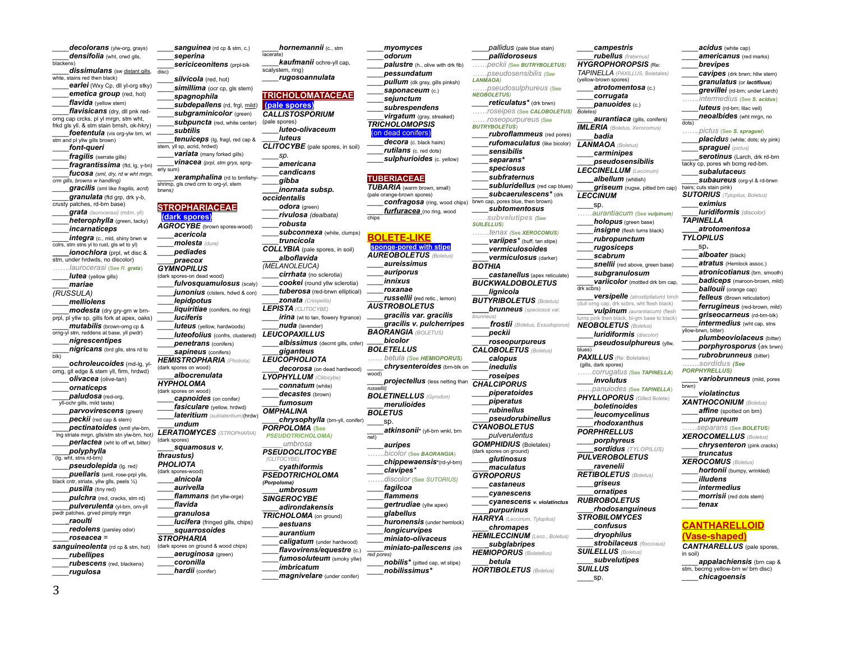*decolorans* (vlw-org, grays) *\_\_\_\_densifolia* (wht, crwd glls, blackens) **dissimulans** (sw distant gills, disc) whte, stains red then black) **earlei** (Wxy Cp, dll yl-org stky) **emetica group** (red, hot) *flavida* (yellow stem) *\_\_\_\_flavisicans* (dry, dll pnk redorng cap crcks, pl yl mrgn, stm wht, frkd gls yll. & stm stain brnsh, ok-hkry) *\_\_\_\_foetentula* (vis org-ylw brn, wt stm and pl yllw gills brown) \_\_\_\_*font-queri fragilis* (serrate gills) *\_\_\_\_fragrantissima* (ftd, lg, y-bn) \_\_\_\_*fucosa (sml, dry, rd w wht mrgn, crm gills, browns w handling) \_\_\_\_gracilis* (sml like *fragilis, acrd*) *\_\_\_\_granulata* (ftd grp, drk y-b, crusty patches, rd-brn base) *\_\_\_\_grata (laurocerasi)* (mdm, yll) *heterophylla* (green, tacky) *\_\_\_\_incarnaticeps integra* (c., mld, shiny brwn w colrs, stm stns yl to rust, gls wt to yl) *\_\_\_\_ionochlora* (prpl, wt disc & stm, under hrdwds, no discolor) *…….laurocerasi* (See *R. grata*) *\_\_\_\_lutea* (yellow gills) *\_\_\_\_mariae (RUSSULA) \_\_\_\_melliolens \_\_\_\_modesta* (dry gry-grn w brnprpl, pl yllw sp, gills fork at apex, oaks) *\_\_\_\_mutabilis* (brown-orng cp & orng-yl stm, reddens at base, yll pwdr) \_\_\_\_*nigrescentipes* \_\_\_\_*nigricans* (brd glls, stns rd to blk) *\_\_\_\_ochroleucoides* (md-lg, ylorng, gll edge & stem yll, firm, hrdwd) *\_\_\_\_olivacea* (olive-tan) *\_\_\_\_ornaticeps \_\_\_\_paludosa* (red-org, yll-ochr gills, mild taste) *\_\_\_\_parvovirescens* (green*) \_\_\_\_peckii* (red cap & stem) *pectinatoides* (smll ylw-brn, lng striate mrgn, glls/stm stn ylw-brn, hot*) \_\_\_\_perlactea* (wht to off wt, bitter*) \_\_\_\_polyphylla* (lg. wht, stns rd-brn*) \_\_\_\_pseudolepida* (lg. red*) \_\_\_\_puellaris* (smll, rose-prpl ylls, black cntr, striate, yllw glls, peels ½) *\_\_\_\_pusilla* (tiny red) *\_\_\_\_pulchra* (red, cracks, stm rd) *\_\_\_\_pulverulenta* (yl-brn, orn-yll pwdr patches, grved pimply mrgn *\_\_\_\_raoulti \_\_\_\_redolens* (parsley odor) *\_\_\_\_roseacea = sanguineolenta* (rd cp & stm, hot) *\_\_\_\_rubellipes \_\_\_\_rubescens* (red, blackens) *\_\_\_\_rugulosa*

*sanguinea* (rd cp & stm, c.) *\_\_\_\_seperina \_\_\_\_sericiceonitens* (prpl-blk *\_\_\_\_silvicola* (red, hot) simillima (ocr cp, gls stem) *\_\_\_\_spagnophila* subdepallens (rd, frgl, mild) *\_\_\_\_subgraminicolor* (green) *subpuncta* (red, white center) *\_\_\_\_subtilis \_\_\_\_tenuiceps* (lg, fragl, red cap & stem, yll sp, acrid, hrdwd) *variata* (many forked gills) *\_\_\_\_vinacea (prpl, stm grys,* sprgerly sum) *\_\_\_\_xeramphalina* (rd to brnfishyshrimp, gls crwd crm to org-yl, stem brwns*)* **STROPHARIACEAE (dark spores)** *AGROCYBE* (brown spores-wood) *\_\_\_\_acericola \_\_\_\_molesta (dura) \_\_\_\_pediades \_\_\_\_praecox GYMNOPILUS*  (dark spores-on dead wood) *\_\_\_\_fulvosquamulosus* (scaly) *\_\_\_\_junonius* (clsters, hdwd & con) \_\_\_\_*lepidpotus liquiritiae* (conifers, no ring) *\_\_\_\_luciferis luteus* (yellow, hardwoods) *\_\_\_\_luteofolius* (confrs, clustered) *LEUCOPAXILLUS \_\_\_\_penetrans* (conifers) *\_\_\_\_sapineus* (conifers) *HEMISTROPHARIA (Pholiota)* (dark spores on wood) *\_\_\_\_albocrenulata HYPHOLOMA* (dark spores on wood) *\_\_\_\_capnoides* (on conifer*) \_\_\_\_fasiculare* (yellow, hrdwd) *\_\_\_\_lateritium (sublateritium)*(hrdw) \_\_\_\_*undum LERATIOMYCES (STROPHARIA)* (dark spores) *\_\_\_\_squamosus v. thraustus) PHOLIOTA* (dark spores-wood) \_\_\_\_*alnicola \_\_\_\_aurivella \_\_\_\_flammans* (brt yllw-orge) \_\_\_\_*flavida* \_\_\_\_*granulosa lucifera* (fringed gills, chips) *\_\_\_\_squarrosoides STROPHARIA* (dark spores on ground & wood chips) *\_\_\_\_aeruginosa* (green) \_\_\_\_*coronilla \_\_\_\_hardii* (conifer)

*\_\_\_\_hornemannii* (c., stm lacerate) *\_\_\_\_kaufmanii* ochre-yll cap, scalystem, ring) *\_\_\_\_rugosoannulata* **TRICHOLOMATACEAE (pale spores)** *CALLISTOSPORIUM* (pale spores) *\_\_\_\_luteo-olivaceum \_\_\_\_luteus CLITOCYBE* (pale spores, in soil) *\_\_\_\_sp. \_\_\_\_americana \_\_\_\_candicans \_\_\_\_gibba \_\_\_\_inornata subsp. occidentalis \_\_\_\_odora* (green) *\_\_\_\_rivulosa (dealbata) \_\_\_\_robusta* **subconnexa** (white, clumps) *\_\_\_\_truncicola COLLYBIA* (pale spores, in soil) *\_\_\_\_alboflavida (MELANOLEUCA) \_\_\_\_cirrhata* (no sclerotia) *\_\_\_\_cookei* (round yllw sclerotia) *\_\_\_\_tuberosa* (red-brwn elliptical) *\_\_\_\_zonata (Crinipellis) LEPISTA (CLITOCYBE) irina* (wt to tan, flowery frarance) *\_\_\_\_nuda* (lavender) *\_\_\_\_albissimus* (decrnt gills, cnfer) *\_\_\_\_giganteus LEUCOPHOLIOTA \_\_\_\_decorosa* (on dead hardwood) *LYOPHYLLUM (Clitocybe) \_\_\_\_connatum* (white) *\_\_\_\_decastes* (brown) *\_\_\_\_fumosum OMPHALINA \_\_\_\_chrysophylla* (brn-yll, conifer) *PORPOLOMA* **(See**  *PSEUDOTRICHOLOMA) \_\_\_\_\_umbrosa PSEUDOCLITOCYBE (CLITOCYBE) \_\_\_\_cyathiformis PSEDOTRICHOLOMA (Porpoloma) \_\_\_\_umbrosum SINGEROCYBE \_\_\_\_adirondakensis TRICHOLOMA* (on ground) *\_\_\_\_aestuans \_\_\_\_aurantium \_\_\_\_caligatum* (under hardwood) *\_\_\_\_flavovirens/equestre* (c.) *\_\_\_\_fumosoluteum* (smoky yllw) *\_\_\_\_imbricatum*

*magnivelare* (under conifer)

*\_\_\_\_myomyces \_\_\_\_odorum palustre* (h., olive with drk fib) *\_\_\_\_pessundatum \_\_\_\_pullum* (dk gray, gills pinksh) *\_\_\_\_saponaceum* (c.) *\_\_\_\_sejunctum \_\_\_\_subrespendens \_\_\_\_virgatum* (gray, streaked) *TRICHOLOMOPSIS*  on dead conifers *\_\_\_\_decora* (c. black hairs) *\_\_\_\_rutilans* (c. red dots) *sulphurioides* (c. yellow) **TUBERIACEAE** *TUBARIA* (warm brown, small) (pale orange-brown spores) *\_\_\_\_confragosa* (ring, wood chips) brwn cap, pores blue, then brown) *\_\_\_\_ furfuracea* (no ring, wood chips **BOLETE-LIKE onge-pored with stipe** *AUREOBOLETUS (Boletus) \_\_\_\_aureissimus \_\_\_\_auriporus \_\_\_\_innixus \_\_\_\_roxanae \_\_\_\_russellii* **(r**ed retic., lemon) *AUSTROBOLETUS \_\_\_\_gracilis var. gracilis \_\_\_\_gracilis v. pulcherripes BAORANGIA (BOLETUS) \_\_\_\_bicolor BOLETELLUS …… betula (See HEMIOPORUS) \_\_\_\_chrysenteroides* (brn-blk on wood) *projectellus* (less netting than *russellii) BOLETINELLUS (Gyrodon) \_\_\_\_merulioides BOLETUS* \_\_\_\_sp. *\_\_\_\_atkinsonii\** (yll-brn wnkl, brn net) *\_\_\_\_auripes …….bicolor* (See *BAORANGIA*) *\_\_\_\_chippewaensis***\***(rd-yl-brn) *\_\_\_\_clavipes\* …….discolor* (See *SUTORIUS) \_\_\_\_fagilcoa \_\_\_\_flammens \_\_\_\_gertrudiae* (yllw apex) *\_\_\_\_glabellus \_\_\_\_huronensis* (under hemlock) *\_\_\_\_longicurvipes \_\_\_\_miniato-olivaceus \_\_\_\_miniato-pallescens (drk red pores) \_\_\_\_nobilis\** (pitted cap, wt stipe) *\_\_\_\_nobilissimus\**

*\_\_\_\_pallidus* (pale blue stain) *\_\_\_\_pallidoroseus ……peckii (*See *BUTRYBOLETUS) ……pseudosensibilis (See LANMAOA) ……pseudosulphureus* (See *NEOBOLETUS) \_\_\_\_reticulatus\** (drk brwn) *……roseipes* (See *CALOBOLETUS) Boletes) ……roseopurpureus* (See *BUTRYBOLETUS*) *\_\_\_\_rubroflammeus* (red pores) *\_\_\_\_rufomaculatus* (like bicolor) *\_\_\_\_sensibilis \_\_\_\_separans\* \_\_\_\_speciosus \_\_\_\_subfraternus subluridellus* (red cap blues) *\_\_\_\_subcaerulescens\** (drk *\_\_\_\_subtomentosus ……subvelutipes (*See *SUILELLUS) …….tenax (*See *XEROCOMUS) \_\_\_\_variipes\** (buff, tan stipe) *\_\_\_\_vermiculosoides \_\_\_\_vermiculosus* (darker) *BOTHIA \_\_\_\_castanellus* (apex reticulate) *BUCKWALDOBOLETUS \_\_\_\_lignicola BUTYRIBOLETUS (Boletus) \_\_\_\_brunneus (speciosus var. brunne \_\_\_\_frostii (Boletus, Exsudoporus) \_\_\_\_peckii \_\_\_\_roseopurpureus CALOBOLETUS (Boletus) \_\_\_\_calopus \_\_\_\_inedulis \_\_\_\_roseipes CHALCIPORUS \_\_\_\_piperatoides \_\_\_\_piperatus \_\_\_\_rubinellus \_\_\_\_pseudorubinellus CYANOBOLETUS \_\_\_\_pulverulentus GOMPHIDIUS* (Boletales) (dark spores on ground) *\_\_\_\_glutinosus \_\_\_\_maculatus GYROPORUS \_\_\_\_castaneus \_\_\_\_cyanescens \_\_\_\_cyanescens v. violatinctus \_\_\_\_purpurinus HARRYA (Leccinum, Tylopilus) \_\_\_\_chromapes HEMILECCINUM (Lecc., Boletus) \_\_\_\_subglabripes HEMIOPORUS (Boletellus) \_\_\_\_betula HORTIBOLETUS (Boletus) \_\_\_\_campestris HYGROPHOROPSIS (*Re: *TAPINELLA (PAXILLUS,* Boletales*)* (yellow-brown spores) *\_\_\_\_atrotomentosa* (c.) *\_\_\_\_corrugata \_\_\_\_panuoides* (c.) *IMLERIA (Boletus, Xerocomus) \_\_\_\_badia LANMAOA (Boletus) \_\_\_\_carminipes LECCINELLUM (Leccinum) LECCINUM* \_\_\_\_sp. *……aurantiacum* (See *vulpinum) \_\_\_\_holopus* (green base) *insigne* (flesh turns black) *\_\_\_\_rubropunctum \_\_\_\_rugosiceps* drk scbrs) turns pink then black, bl-grn base to black) *NEOBOLETUS (Boletus) \_\_\_\_luridiformis (discolor)* blues) *PAXILLUS* (Re: Boletales) (gills, dark spores) *……corrugatus (*See *TAPINELLA*) *\_\_\_\_involutus PHYLLOPORUS* (Gilled Bolete) *\_\_\_\_boletinoides \_\_\_\_leucomycelinus \_\_\_\_rhodoxanthus PORPHRELLUS \_\_\_\_porphyreus \_\_\_\_sordidus (TYLOPILUS) PULVEROBOLETUS RETIBOLETUS (Boletus) \_\_\_\_griseus \_\_\_\_ornatipes RUBROBOLETUS STROBILOMYCES \_\_\_\_confusus \_\_\_\_dryophilus SUILELLUS (Boletus) SUILLUS*  $_{\rm sp.}$ 

*\_\_\_\_rubellus (fraternus)*

*\_\_\_\_pseudosensibilis*

*\_\_\_\_albellum* (whitish)

*\_\_\_\_scabrum*

*\_\_\_\_ravenelii*

*\_\_\_\_rhodosanguineus*

*\_\_\_\_strobilaceus (floccosus)*

*\_\_\_\_subvelutipes*

*\_\_\_\_subgranulosum*

*\_\_\_\_aurantiaca* (gills, conifers) *\_\_\_\_griseum* (rugse, pitted brn cap) *snellii* (red above, green base) *\_\_\_\_variicolor* (mottled drk brn cap, *\_\_\_\_versipelle (atrostipitatum)* birch drk scbrs, wht flesh black) *\_\_\_\_vulpinum (aurantiacum)* (flesh *\_\_\_\_pseudosulphureus* (yllw, *……panuiodes (*See *TAPINELLA*) *\_\_\_\_acidus* (white cap) *\_\_\_\_americanus* (red marks) *\_\_\_\_brevipes \_\_\_\_cavipes* (drk brwn; hllw stem) *\_\_\_\_granulatus* (or *lactifluus*) *\_\_\_\_grevillei* (rd-brn; under Larch) *…….intermedius* (See *S. acidus*) *\_\_\_\_luteus* (rd-brn; lilac veil) \_\_\_\_*neoalbides* (wht mrgn, no dots) *…….pictus* (See *S. spraguei*) *placidus* (white: dots; sly pink) *\_\_\_\_spraguei (pictus) \_\_\_\_serotinus* (Larch, drk rd-brn tacky cp, pores wh bcmg red-brn. *\_\_\_\_subalutaceus subaureus* (org-yl & rd-brwn hairs; cuts stain pink) *SUTORIUS (Tylopilus, Boletus) \_\_\_\_eximius \_\_\_\_luridiformis (discolor) TAPINELLA \_\_\_\_atrotomentosa TYLOPILUS* \_\_\_\_sp**.** *\_\_\_\_alboater* (black) *\_\_\_\_atratus* (Hemlock assoc.) *\_\_\_\_atronicotianus* (brn, smooth) *\_\_\_\_badiceps* (maroon-brown, mild) *ballouii* (orange cap) *felleus* (Brown reticulation) *ferrugineus* (red-brown, mild) *\_\_\_\_griseocarneus* (rd-brn-blk) *intermedius* (wht cap, stns yllow-brwn, bitter) *\_\_\_\_plumbeoviolaceus* (bitter) \_\_\_\_*porphyrosporus* (drk brwn) *\_\_\_\_rubrobrunneus* (bitter) *…….sordidus (See PORPHYRELLUS) \_\_\_\_variobrunneus* (mild, pores brwn) *\_\_\_\_violatinctus XANTHOCONIUM (Boletus) affine* (spotted on bm) *\_\_\_\_purpureum ……separans* (See *BOLETUS) XEROCOMELLUS (Boletus) chrysenteron* (pink cracks) *\_\_\_\_truncatus XEROCOMUS (Boletus) \_\_\_\_hortonii* (bumpy, wrinkled) *\_\_\_\_illudens \_\_\_\_intermedius \_\_\_\_morrisii* (red dots stem) *\_\_\_\_tenax* **CANTHARELLOID (Vase-shaped)**

## *CANTHARELLUS* (pale spores, in soil)

*\_\_\_\_appalachiensis* (brn cap & stm, becmg yellow-brn w/ brn disc) *\_\_\_\_chicagoensis*

3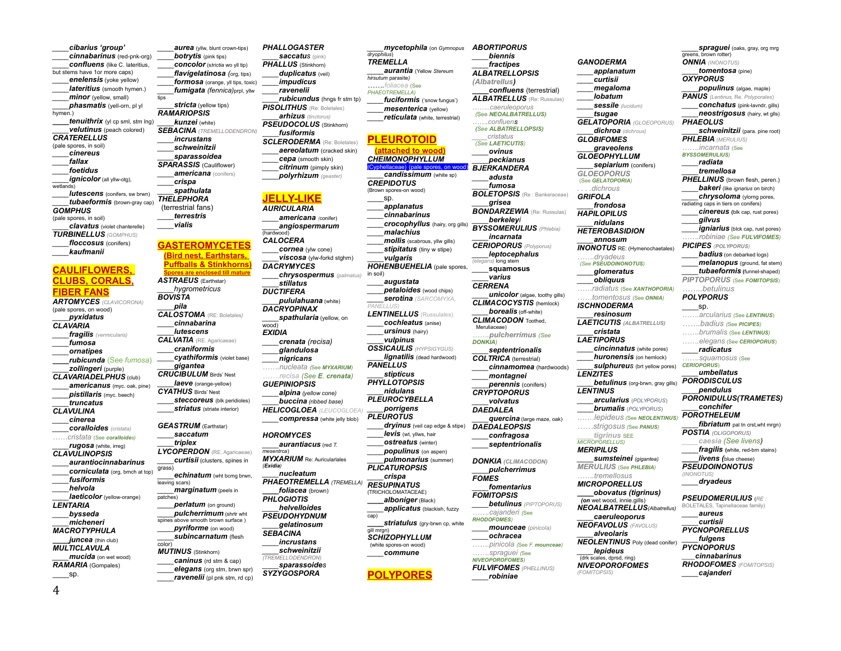*\_\_\_\_cibarius 'group' \_\_\_\_cinnabarinus* (red-pnk-org) *\_\_\_\_confluens* (like C. lateritius, but stems have 1or more caps) **enelensis** (yoke yellow) *\_\_\_\_lateritius* (smooth hymen.) *minor* (yellow, small) *\_\_\_\_phasmatis* (yell-orn, pl yl hymen. *tenuithrix* (yl cp sml, stm lng) *\_\_\_\_velutinus* (peach colored) *CRATERELLUS* (pale spores, in soil) *\_\_\_\_cinereus \_\_\_\_fallax \_\_\_\_foetidus \_\_\_\_ignicolor* (all yllw-otg), wetlands) *\_\_\_\_lutescens* (conifers, sw brwn) *\_\_\_\_tubaeformis* (brown-gray cap) *GOMPHUS* (pale spores, in soil) *\_\_\_\_clavatus* (violet chanterelle) *TURBINELLUS (GOMPHUS) floccosus* (conifers) *\_\_\_\_kaufmanii* **CAULIFLOWERS, CLUBS, CORALS, FIBER FANS** *ARTOMYCES (CLAVICORONA)* (pale spores, on wood) *\_\_\_\_pyxidatus CLAVARIA \_\_\_\_fragilis (vermicularis) \_\_\_\_fumosa \_\_\_\_ornatipes \_\_\_\_rubicunda* (See *fumosa*) *\_\_\_\_zollingeri* (purple) *CLAVARIADELPHUS* (club)

*\_\_\_\_americanus* (myc. oak, pine) *\_\_\_\_pistillaris* (myc. beech) *\_\_\_\_truncatus CLAVULINA \_\_\_\_cinerea \_\_\_\_coralloides (cristata) ……cristata* (See *coralloides) \_\_\_\_rugosa* (white, irreg) *CLAVULINOPSIS \_\_\_\_aurantiocinnabarinus \_\_\_\_corniculata* (org, brnch at top) *\_\_\_\_fusiformis \_\_\_\_helvola \_\_\_\_laeticolor* (yellow-orange) *LENTARIA \_\_\_\_bysseda \_\_\_\_micheneri MACROTYPHULA juncea* (thin club) *MULTICLAVULA*

*\_\_\_\_mucida* (on wet wood) *RAMARIA* (Gompales)  $-$ sp.

*aurea* (vllw, blunt crown-tips) *\_\_\_\_botrytis* (pink tips) \_\_\_\_*concolor* (s*trictia* wo yll tip) *\_\_\_\_flavigelatinosa (*org, tips) *\_\_\_\_formosa* (orange, yll tips, toxic) *\_\_\_\_fumigata (fennica)*prpl, yllw tips *\_\_\_\_stricta* (yellow tips) *RAMARIOPSIS \_\_\_\_kunzei* (white) *SEBACINA (TREMELLODENDRON) \_\_\_\_incrustans \_\_\_\_schweinitzii \_\_\_\_sparassoidea SPARASSIS* (Cauliflower) *\_\_\_\_americana* (conifers) *\_\_\_\_crispa \_\_\_\_spathulata THELEPHORA*  (terrestrial fans) *\_\_\_\_terrestris \_\_\_\_vialis* **GASTEROMYCETES**

*\_\_\_\_pila*

grass)

patches)

color)

*MUTINUS* (Stinkhorn) *\_\_\_\_caninus* (rd stm & cap) *\_\_\_\_elegans* (org stm, brwn spr) *\_\_\_\_ravenelii* (pl pnk stm, rd cp)

*\_\_\_\_pulcherrimum* (shrtr wht spines above smooth brown surface ) *\_\_\_\_pyriforme* (on wood) *\_\_\_\_subincarnatum* (flesh

**(Bird nest, Earthstars, Puffballs & Stinkhorns) Spores are enclosed till mature** *ASTRAEUS* (Earthstar) *\_\_\_\_hygrometricus BOVISTA CALOSTOMA* (RE: Boletales*) \_\_\_\_cinnabarina \_\_\_\_lutescens CALVATIA* (RE. Agaricaeae) *\_\_\_\_craniformis \_\_\_\_cyathiformis* (violet base) *\_\_\_\_gigantea CRUCIBULUM Birds' Nest laeve* (orange-yellow) *CYATHUS* Birds' Nest *\_\_\_\_steccoreus* (blk peridioles) *striatus* (striate interior) *GEASTRUM* (Earthstar) *\_\_\_\_saccatum \_\_\_\_triplex LYCOPERDON* (RE. Agaricaeae) *\_\_\_\_curtisii* (clusters, spines in *\_\_\_\_echinatum* (wht bcmg brwn, leaving scars) *\_\_\_\_marginatum* (peels in *\_\_\_\_perlatum* (on ground) *DACRYMYCES \_\_\_\_stillatus DUCTIFERA DACRYOPINAX* wood) *EXIDIA \_\_\_\_nigricans (Exidia)*

*\_\_\_\_alpina (yellow cone) HOROMYCES \_\_\_\_aurantiacus* (red *T. mesentrca*) *MYXARIUM* Re: Auricularlales *\_\_\_\_nucleatum \_\_\_\_foliacea* (brown) *PHLOGIOTIS \_\_\_\_helvelloides PSEUDOHYDNUM \_\_\_\_gelatinosum SEBACINA \_\_\_\_incrustans \_\_\_\_schweinitzii*

*PHALLOGASTER \_\_\_\_saccatus* (pink) *PHALLUS* (Stinkhorn) *\_\_\_\_duplicatus* (veil) *\_\_\_\_impudicus \_\_\_\_ravenelii* 

(hardwood) *CALOCERA*

*rubicundus* (hngs fr stm tp) *PISOLITHUS* (Re: Boletales) *\_\_\_\_arhizus (tinctorus) PSEUDOCOLUS* (Stinkhorn) \_\_\_\_*fusiformis SCLERODERMA* (Re: Boletales) *\_\_\_\_aereolatum* (cracked skin) *\_\_\_\_cepa* (smooth skin) *\_\_\_\_citrinum* (pimply skin) *\_\_\_\_polyrhizum (geaster)*

*(TREMELLODENDRON) \_\_\_\_sparassoides SYZYGOSPORA*

*GUEPINIOPSIS \_\_\_\_buccina (ribbed base) HELICOGLOEA (LEUCOGLOEA) \_\_\_\_compressa* (white jelly blob) *PHAEOTREMELLA (TREMELLA)*

**JELLY-LIKE** *AURICULARIA \_\_\_\_americana (*conifer) *\_\_\_\_angiospermarum \_\_\_\_cornea* (ylw cone) *\_\_\_\_viscosa* (ylw-forkd stghrn) *\_\_\_\_chrysospermus (palmatus) \_\_\_\_pululahuana* (white) *\_\_\_\_spathularia* (yellow, on *\_\_\_\_crenata (recisa) \_\_\_\_glandulosa …….nucleata (*See *MYXARIUM) …….recisa (See E. crenata)* in soil) *PANELLUS) PANELLUS* cap) gill mrgn)

*dryophilus*) *TREMELLA \_\_\_\_aurantia* (Yellow *Stereum hirsutum* parasite*) …….foliacea* (See *PHAEOTREMELLA) \_\_\_\_fuciformis* ('snow fungus') *\_\_\_\_mesenterica* (yellow) *\_\_\_\_reticulata* (white, terrestrial) **PLEUROTOID (attached to wood)** *CHEIMONOPHYLLUM*  (Cyphellaceae) (pale spores, on wood) *candissimum* (white sp) *CREPIDOTUS*  (Brown spores-on wood) \_\_\_\_sp. *\_\_\_\_applanatus \_\_\_\_cinnabarinus \_\_\_\_crocophyllus* (hairy, org gills) *\_\_\_\_malachius mollis* (scabrous, yllw gills) *stipitatus* (tiny w stipe) \_\_\_\_*vulgaris HOHENBUEHELIA* (pale spores, *\_\_\_\_augustata petaloides* (wood chips) *\_\_\_\_serotina (SARCOMYXA, LENTINELLUS* (Russulales) *\_\_\_\_cochleatus* (anise) *\_\_\_\_ursinus* (hairy) *\_\_\_\_vulpinus OSSICAULIS (HYPSIGYGUS) \_\_\_\_lignatilis* (dead hardwood) *\_\_\_\_stipticus PHYLLOTOPSIS \_\_\_\_nidulans PLEUROCYBELLA \_\_\_\_porrigens PLEUROTUS drvinus* (veil cap edge & stipe) *\_\_\_\_levis* (wt, yllws, hair *\_\_\_\_ostreatus* (winter) *\_\_\_\_populinus* (on aspen) *\_\_\_\_pulmonarius* (summer) *PLICATUROPSIS \_\_\_\_crispa RESUPINATUS*  (TRICHOLOMATACEAE) *\_\_\_\_alboniger* (Black) *\_\_\_\_applicatus* (blackish, fuzzy *striatulus* (gry-brwn cp, white *SCHIZOPHYLLUM* (white spores-on wood) *\_\_\_\_commune* **POLYPORES** *(Albatrellus) …….confluens \_\_\_\_cristatus (See LAETICUTIS) \_\_\_\_ovinus BJERKANDERA \_\_\_\_adusta \_\_\_\_fumosa \_\_\_\_grisea (elegans)* long stem *\_\_\_\_varius CERRENA* Meruliaceae) *DONKIA) CRYPTOPORUS DAEDALEA DAEDALEOPSIS FOMES FOMITOPSIS RHODOFOMES) NIVEOPOROFOMES) FULVIFOMES (PHELLINUS) \_\_\_\_robiniae*

*\_\_\_\_mycetophila* (on *Gymnopus ABORTIPORUS \_\_\_\_biennis \_\_\_\_fractipes ALBATRELLOPSIS \_\_\_\_confluens* (terrestrial) *ALBATRELLUS* (Re: Russulas) *……..caeruleoporus (*See *NEOALBATRELLUS) (See ALBATRELLOPSIS) \_\_\_\_peckianus BOLETOPSIS* (Re : Bankeraceae) *BONDARZEWIA* (Re: Russulas) *\_\_\_\_berkeleyi BYSSOMERULIUS (Phlebia) \_\_\_\_incarnata CERIOPORUS (Polyporus) \_\_\_\_leptocephalus \_\_\_\_***squamosus** *\_\_\_\_unicolor* (algae, toothy gills) *CLIMACOCYSTIS* (hemlock) *borealis* (off-white) **CLIMACODON** Toothed. *…….pulcherrimus (See \_\_\_\_septentrionalis COLTRICA* (terrestrial) *\_\_\_\_cinnamomea* (hardwoods) *\_\_\_\_montagnei \_\_\_\_perennis* (conifers) *\_\_\_\_volvatus \_\_\_\_quercina* (large maze, oak) *\_\_\_\_confragosa \_\_\_\_septentrionalis DONKIA (CLIMACODON) \_\_\_\_pulcherrimus \_\_\_\_fomentarius \_\_\_\_betulinus (PIPTOPORUS) …….cajanderi (*See *\_\_\_\_mounceae (pinicola) \_\_\_\_ochracea …….pinicola (*See *F. mounceae) …….spraguei (*See *GANODERMA \_\_\_\_applanatum \_\_\_\_curtisii \_\_\_\_megaloma \_\_\_\_lobatum \_\_\_\_sessile (lucidum) \_\_\_\_tsugae GELATOPORIA (GLOEOPORUS) \_\_\_\_dichroa (dichrous) GLOBIFOMES \_\_\_\_graveolens GLOEOPHYLLUM sepiarium* (conifers) *GLOEOPORUS* (See *GELATOPORIA) . . . .dichrous GRIFOLA \_\_\_\_frondosa HAPILOPILUS LENZITES LENTINUS*

*\_\_\_\_nidulans HETEROBASIDION \_\_\_\_annosum INONOTUS* RE: (Hymenochaetales) *…….dryadeus (See PSEUDOINONOTUS) \_\_\_\_glomeratus \_\_\_\_obliquus ……radiatus* (See *XANTHOPORIA) ……tomentosus* (See *ONNIA) ISCHNODERMA \_\_\_\_resinosum LAETICUTIS (ALBATRELLUS) \_\_\_\_cristata LAETIPORUS \_\_\_\_cincinnatus* (white pores) *\_\_\_\_huronensis* (on hemlock) *sulphureus* (brt yellow pores) *betulinus* (org-brwn, gray gills) *\_\_\_\_arcularius* (*POLYPORUS*) \_\_\_\_*brumalis* (*POLYPORUS*) …….*lepideus (*See *NEOLENTINUS) ……strigosus (*See *PANUS) \_\_\_\_tigrinus* SEE *MICROPORELLUS) MERIPILUS \_\_\_\_sumsteinei (gigantea) MERULIUS* (See *PHLEBIA) …….tremellosus MICROPORELLUS \_\_\_\_obovatus (tigrinus) (on* wet wood, innie.gills) *NEOALBATRELLUS(Albatrellus) \_\_\_\_caeruleoporus NEOFAVOLUS (FAVOLUS) \_\_\_\_alveolaris NEOLENTINUS* Poly (dead conifer) *\_\_\_\_lepideus* (drk scales, dprsd, ring) *NIVEOPOROFOMES (FOMITOPSIS)*

*spraquei* (oaks, gray, org mrg greens, brown rotter) *ONNIA (INONOTUS) \_\_\_\_tomentosa* (pine) *OXYPORUS \_\_\_\_populinus* (algae, maple) *PANUS (Lentinus,* Re. *Polyporales*) *\_\_\_\_conchatus* (pink-lavndr, gills) *\_\_\_\_neostrigosus* (hairy, wt glls) *PHAEOLUS schweinitzii* (para. pine root) *PHLEBIA (MERULIUS) …….incarnata* (See *BYSSOMERULIUS) \_\_\_\_radiata \_\_\_\_tremellosa*  **PHELLINUS** (brown flesh, peren.) *bakeri* (like *ignarius* on birch) *\_\_\_\_chrysoloma* (ylorng pores, radiating caps in tiers on conifers) *\_\_\_\_cinereus* **(**blk cap, rust pores) *\_\_\_\_gilvus \_\_\_\_igniarius* (blck cap, rust pores) *…….robiniae (See FULVIFOMES) PICIPES (POLYPORUS) badius* (on debarked logs) *\_\_\_\_melanopus* (ground, fat stem) *\_\_\_\_tubaeformis* **(**funnel-shaped) *PIPTOPORUS* (See *FOMITOPSIS*) *……..betulinus POLYPORUS* \_\_\_\_sp. *…….arcularius* (See *LENTINUS*) *…….badius (*See *PICIPES) …….brumalis* (See *LENTINUS) …….elegans* (See *CERIOPORUS*) *\_\_\_\_radicatus …….squamosus* (See *CERIOPORUS*) *\_\_\_\_umbellatus PORODISCULUS \_\_\_\_pendulus PORONIDULUS(TRAMETES) \_\_\_\_conchifer POROTHELEUM \_\_\_\_fibriatum* pal tn crst,wht mrgn) *POSTIA (OLIGOPORUS) \_\_\_\_caesia (See livens) \_\_\_\_fragilis* **(**white, red-brn stains) *\_\_\_\_livens (*blue cheese) *PSEUDOINONOTUS (INONOTUS) \_\_\_\_dryadeus PSEUDOMERULIUS* (*RE :*  BOLETALES, Tapinellaceae family) *\_\_\_\_aureus*

*\_\_\_\_curtisii PYCNOPORELLUS \_\_\_\_fulgens PYCNOPORUS \_\_\_\_cinnabarinus RHODOFOMES (FOMITOPSIS) \_\_\_\_cajanderi*